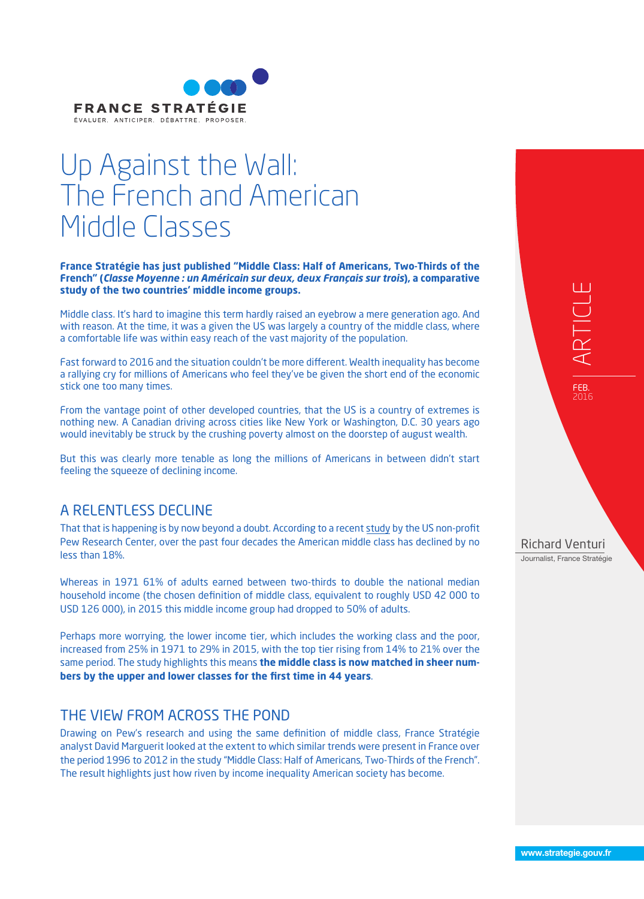

# Up Against the Wall: The French and American Middle Classes

**France Stratégie has just published "Middle Class: Half of Americans, Two-Thirds of the French" (***Classe Moyenne : un Américain sur deux, deux Français sur trois***), a comparative study of the two countries' middle income groups.** 

Middle class. It's hard to imagine this term hardly raised an eyebrow a mere generation ago. And with reason. At the time, it was a given the US was largely a country of the middle class, where a comfortable life was within easy reach of the vast majority of the population.

Fast forward to 2016 and the situation couldn't be more different. Wealth inequality has become a rallying cry for millions of Americans who feel they've be given the short end of the economic stick one too many times.

From the vantage point of other developed countries, that the US is a country of extremes is nothing new. A Canadian driving across cities like New York or Washington, D.C. 30 years ago would inevitably be struck by the crushing poverty almost on the doorstep of august wealth.

But this was clearly more tenable as long the millions of Americans in between didn't start feeling the squeeze of declining income.

## A RELENTLESS DECLINE

That that is happening is by now beyond a doubt. According to a recent [study](http://www.pewsocialtrends.org/2015/12/09/the-american-middle-class-is-losing-ground/) by the US non-profit Pew Research Center, over the past four decades the American middle class has declined by no less than 18%.

Whereas in 1971 61% of adults earned between two-thirds to double the national median household income (the chosen definition of middle class, equivalent to roughly USD 42 000 to USD 126 000), in 2015 this middle income group had dropped to 50% of adults.

Perhaps more worrying, the lower income tier, which includes the working class and the poor, increased from 25% in 1971 to 29% in 2015, with the top tier rising from 14% to 21% over the same period. The study highlights this means **the middle class is now matched in sheer numbers by the upper and lower classes for the first time in 44 years**.

## THE VIEW FROM ACROSS THE POND

Drawing on Pew's research and using the same definition of middle class, France Stratégie analyst David Marguerit looked at the extent to which similar trends were present in France over the period 1996 to 2012 in the study "Middle Class: Half of Americans, Two-Thirds of the French". The result highlights just how riven by income inequality American society has become.

ARTICLE

FEB. 2016

Richard Venturi Journalist, France Stratégie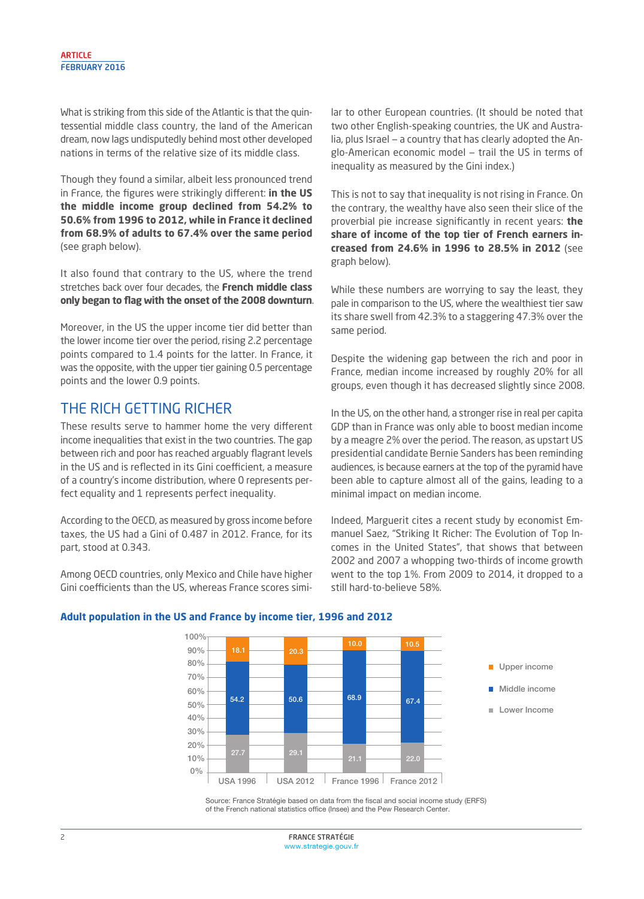What is striking from this side of the Atlantic is that the quintessential middle class country, the land of the American dream, now lags undisputedly behind most other developed nations in terms of the relative size of its middle class.

Though they found a similar, albeit less pronounced trend in France, the figures were strikingly different: **in the US the middle income group declined from 54.2% to 50.6% from 1996 to 2012, while in France it declined from 68.9% of adults to 67.4% over the same period** (see graph below).

It also found that contrary to the US, where the trend stretches back over four decades, the **French middle class only began to flag with the onset of the 2008 downturn**.

Moreover, in the US the upper income tier did better than the lower income tier over the period, rising 2.2 percentage points compared to 1.4 points for the latter. In France, it was the opposite, with the upper tier gaining 0.5 percentage points and the lower 0.9 points.

## THE RICH GETTING RICHER

These results serve to hammer home the very different income inequalities that exist in the two countries. The gap between rich and poor has reached arguably flagrant levels in the US and is reflected in its Gini coefficient, a measure of a country's income distribution, where 0 represents perfect equality and 1 represents perfect inequality.

According to the OECD, as measured by gross income before taxes, the US had a Gini of 0.487 in 2012. France, for its part, stood at 0.343.

Among OECD countries, only Mexico and Chile have higher Gini coefficients than the US, whereas France scores similar to other European countries. (It should be noted that two other English-speaking countries, the UK and Australia, plus Israel — a country that has clearly adopted the Anglo-American economic model — trail the US in terms of inequality as measured by the Gini index.)

This is not to say that inequality is not rising in France. On the contrary, the wealthy have also seen their slice of the proverbial pie increase significantly in recent years: **the share of income of the top tier of French earners increased from 24.6% in 1996 to 28.5% in 2012** (see graph below).

While these numbers are worrying to say the least, they pale in comparison to the US, where the wealthiest tier saw its share swell from 42.3% to a staggering 47.3% over the same period.

Despite the widening gap between the rich and poor in France, median income increased by roughly 20% for all groups, even though it has decreased slightly since 2008.

In the US, on the other hand, a stronger rise in real per capita GDP than in France was only able to boost median income by a meagre 2% over the period. The reason, as upstart US presidential candidate Bernie Sanders has been reminding audiences, is because earners at the top of the pyramid have been able to capture almost all of the gains, leading to a minimal impact on median income.

Indeed, Marguerit cites a recent study by economist Emmanuel Saez, "Striking It Richer: The Evolution of Top Incomes in the United States", that shows that between 2002 and 2007 a whopping two-thirds of income growth went to the top 1%. From 2009 to 2014, it dropped to a still hard-to-believe 58%.



#### **Adult population in the US and France by income tier, 1996 and 2012**

Source: France Stratégie based on data from the fiscal and social income study (ERFS) of the French national statistics office (Insee) and the Pew Research Center.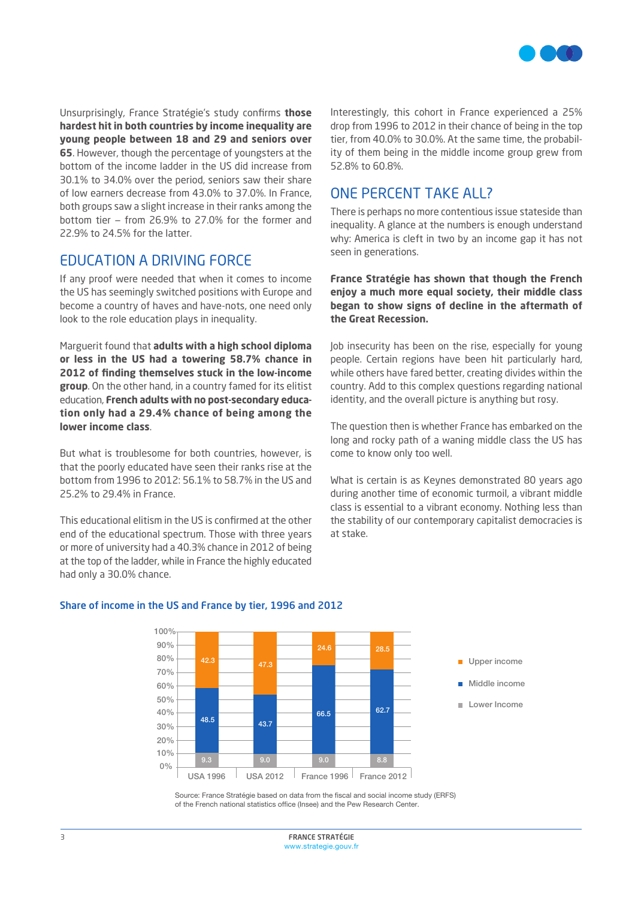

Unsurprisingly, France Stratégie's study confirms **those hardest hit in both countries by income inequality are young people between 18 and 29 and seniors over 65**. However, though the percentage of youngsters at the bottom of the income ladder in the US did increase from 30.1% to 34.0% over the period, seniors saw their share of low earners decrease from 43.0% to 37.0%. In France, both groups saw a slight increase in their ranks among the bottom tier — from 26.9% to 27.0% for the former and 22.9% to 24.5% for the latter.

### EDUCATION A DRIVING FORCE

If any proof were needed that when it comes to income the US has seemingly switched positions with Europe and become a country of haves and have-nots, one need only look to the role education plays in inequality.

Marguerit found that **adults with a high school diploma or less in the US had a towering 58.7% chance in 2012 of finding themselves stuck in the low-income group**. On the other hand, in a country famed for its elitist education, **French adults with no post-secondary education only had a 29.4% chance of being among the lower income class**.

But what is troublesome for both countries, however, is that the poorly educated have seen their ranks rise at the bottom from 1996 to 2012: 56.1% to 58.7% in the US and 25.2% to 29.4% in France.

This educational elitism in the US is confirmed at the other end of the educational spectrum. Those with three years or more of university had a 40.3% chance in 2012 of being at the top of the ladder, while in France the highly educated had only a 30.0% chance.

Interestingly, this cohort in France experienced a 25% drop from 1996 to 2012 in their chance of being in the top tier, from 40.0% to 30.0%. At the same time, the probability of them being in the middle income group grew from 52.8% to 60.8%.

## ONE PERCENT TAKE ALL?

There is perhaps no more contentious issue stateside than inequality. A glance at the numbers is enough understand why: America is cleft in two by an income gap it has not seen in generations.

**France Stratégie has shown that though the French enjoy a much more equal society, their middle class began to show signs of decline in the aftermath of the Great Recession.** 

Job insecurity has been on the rise, especially for young people. Certain regions have been hit particularly hard, while others have fared better, creating divides within the country. Add to this complex questions regarding national identity, and the overall picture is anything but rosy.

The question then is whether France has embarked on the long and rocky path of a waning middle class the US has come to know only too well.

What is certain is as Keynes demonstrated 80 years ago during another time of economic turmoil, a vibrant middle class is essential to a vibrant economy. Nothing less than the stability of our contemporary capitalist democracies is at stake.



#### Share of income in the US and France by tier, 1996 and 2012

Source: France Stratégie based on data from the fiscal and social income study (ERFS) of the French national statistics office (Insee) and the Pew Research Center.